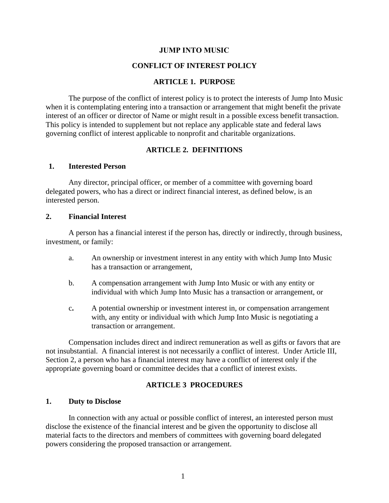#### **JUMP INTO MUSIC**

### **CONFLICT OF INTEREST POLICY**

## **ARTICLE 1. PURPOSE**

The purpose of the conflict of interest policy is to protect the interests of Jump Into Music when it is contemplating entering into a transaction or arrangement that might benefit the private interest of an officer or director of Name or might result in a possible excess benefit transaction. This policy is intended to supplement but not replace any applicable state and federal laws governing conflict of interest applicable to nonprofit and charitable organizations.

#### **ARTICLE 2. DEFINITIONS**

#### **1. Interested Person**

Any director, principal officer, or member of a committee with governing board delegated powers, who has a direct or indirect financial interest, as defined below, is an interested person.

#### **2. Financial Interest**

A person has a financial interest if the person has, directly or indirectly, through business, investment, or family:

- a. An ownership or investment interest in any entity with which Jump Into Music has a transaction or arrangement,
- b. A compensation arrangement with Jump Into Music or with any entity or individual with which Jump Into Music has a transaction or arrangement, or
- c**.** A potential ownership or investment interest in, or compensation arrangement with, any entity or individual with which Jump Into Music is negotiating a transaction or arrangement.

Compensation includes direct and indirect remuneration as well as gifts or favors that are not insubstantial. A financial interest is not necessarily a conflict of interest. Under Article III, Section 2, a person who has a financial interest may have a conflict of interest only if the appropriate governing board or committee decides that a conflict of interest exists.

### **ARTICLE 3 PROCEDURES**

#### **1. Duty to Disclose**

In connection with any actual or possible conflict of interest, an interested person must disclose the existence of the financial interest and be given the opportunity to disclose all material facts to the directors and members of committees with governing board delegated powers considering the proposed transaction or arrangement.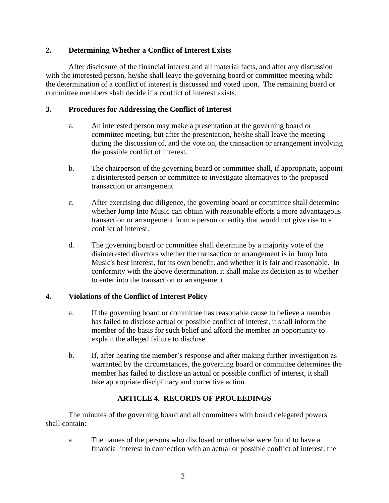## **2. Determining Whether a Conflict of Interest Exists**

After disclosure of the financial interest and all material facts, and after any discussion with the interested person, he/she shall leave the governing board or committee meeting while the determination of a conflict of interest is discussed and voted upon. The remaining board or committee members shall decide if a conflict of interest exists.

## **3. Procedures for Addressing the Conflict of Interest**

- a. An interested person may make a presentation at the governing board or committee meeting, but after the presentation, he/she shall leave the meeting during the discussion of, and the vote on, the transaction or arrangement involving the possible conflict of interest.
- b. The chairperson of the governing board or committee shall, if appropriate, appoint a disinterested person or committee to investigate alternatives to the proposed transaction or arrangement.
- c. After exercising due diligence, the governing board or committee shall determine whether Jump Into Music can obtain with reasonable efforts a more advantageous transaction or arrangement from a person or entity that would not give rise to a conflict of interest.
- d. The governing board or committee shall determine by a majority vote of the disinterested directors whether the transaction or arrangement is in Jump Into Music's best interest, for its own benefit, and whether it is fair and reasonable. In conformity with the above determination, it shall make its decision as to whether to enter into the transaction or arrangement.

# **4. Violations of the Conflict of Interest Policy**

- a. If the governing board or committee has reasonable cause to believe a member has failed to disclose actual or possible conflict of interest, it shall inform the member of the basis for such belief and afford the member an opportunity to explain the alleged failure to disclose.
- b. If, after hearing the member's response and after making further investigation as warranted by the circumstances, the governing board or committee determines the member has failed to disclose an actual or possible conflict of interest, it shall take appropriate disciplinary and corrective action.

# **ARTICLE 4. RECORDS OF PROCEEDINGS**

The minutes of the governing board and all committees with board delegated powers shall contain:

a. The names of the persons who disclosed or otherwise were found to have a financial interest in connection with an actual or possible conflict of interest, the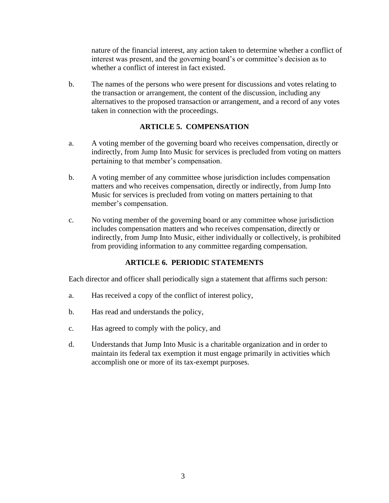nature of the financial interest, any action taken to determine whether a conflict of interest was present, and the governing board's or committee's decision as to whether a conflict of interest in fact existed.

b. The names of the persons who were present for discussions and votes relating to the transaction or arrangement, the content of the discussion, including any alternatives to the proposed transaction or arrangement, and a record of any votes taken in connection with the proceedings.

## **ARTICLE 5. COMPENSATION**

- a. A voting member of the governing board who receives compensation, directly or indirectly, from Jump Into Music for services is precluded from voting on matters pertaining to that member's compensation.
- b. A voting member of any committee whose jurisdiction includes compensation matters and who receives compensation, directly or indirectly, from Jump Into Music for services is precluded from voting on matters pertaining to that member's compensation.
- c. No voting member of the governing board or any committee whose jurisdiction includes compensation matters and who receives compensation, directly or indirectly, from Jump Into Music, either individually or collectively, is prohibited from providing information to any committee regarding compensation.

# **ARTICLE 6. PERIODIC STATEMENTS**

Each director and officer shall periodically sign a statement that affirms such person:

- a. Has received a copy of the conflict of interest policy,
- b. Has read and understands the policy,
- c. Has agreed to comply with the policy, and
- d. Understands that Jump Into Music is a charitable organization and in order to maintain its federal tax exemption it must engage primarily in activities which accomplish one or more of its tax-exempt purposes.